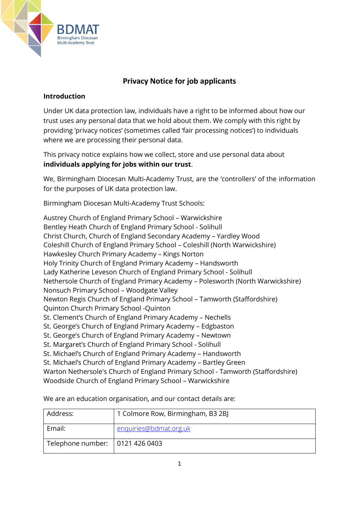

# **Privacy Notice for job applicants**

# **Introduction**

Under UK data protection law, individuals have a right to be informed about how our trust uses any personal data that we hold about them. We comply with this right by providing 'privacy notices' (sometimes called 'fair processing notices') to individuals where we are processing their personal data.

This privacy notice explains how we collect, store and use personal data about **individuals applying for jobs within our trust**.

We, Birmingham Diocesan Multi-Academy Trust, are the 'controllers' of the information for the purposes of UK data protection law.

Birmingham Diocesan Multi-Academy Trust Schools:

Austrey Church of England Primary School – Warwickshire Bentley Heath Church of England Primary School - Solihull Christ Church, Church of England Secondary Academy – Yardley Wood Coleshill Church of England Primary School – Coleshill (North Warwickshire) Hawkesley Church Primary Academy – Kings Norton Holy Trinity Church of England Primary Academy – Handsworth Lady Katherine Leveson Church of England Primary School - Solihull Nethersole Church of England Primary Academy – Polesworth (North Warwickshire) Nonsuch Primary School – Woodgate Valley Newton Regis Church of England Primary School – Tamworth (Staffordshire) Quinton Church Primary School -Quinton St. Clement's Church of England Primary Academy – Nechells St. George's Church of England Primary Academy – Edgbaston St. George's Church of England Primary Academy – Newtown St. Margaret's Church of England Primary School - Solihull St. Michael's Church of England Primary Academy – Handsworth St. Michael's Church of England Primary Academy – Bartley Green Warton Nethersole's Church of England Primary School - Tamworth (Staffordshire) Woodside Church of England Primary School – Warwickshire

| Address:                          | 1 Colmore Row, Birmingham, B3 2BJ |
|-----------------------------------|-----------------------------------|
| Email:                            | enquiries@bdmat.org.uk            |
| Telephone number:   0121 426 0403 |                                   |

We are an education organisation, and our contact details are: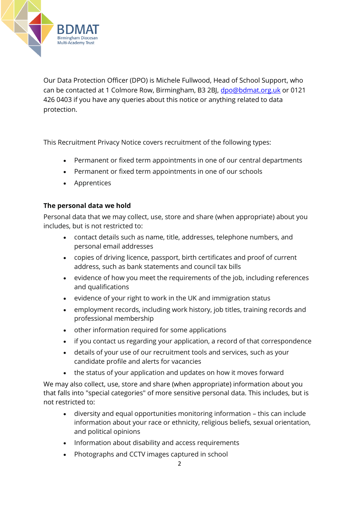

Our Data Protection Officer (DPO) is Michele Fullwood, Head of School Support, who can be contacted at 1 Colmore Row, Birmingham, B3 2BJ, [dpo@bdmat.org.uk](mailto:dpo@bdmat.org.uk) or 0121 426 0403 if you have any queries about this notice or anything related to data protection.

This Recruitment Privacy Notice covers recruitment of the following types:

- Permanent or fixed term appointments in one of our central departments
- Permanent or fixed term appointments in one of our schools
- Apprentices

#### **The personal data we hold**

Personal data that we may collect, use, store and share (when appropriate) about you includes, but is not restricted to:

- contact details such as name, title, addresses, telephone numbers, and personal email addresses
- copies of driving licence, passport, birth certificates and proof of current address, such as bank statements and council tax bills
- evidence of how you meet the requirements of the job, including references and qualifications
- evidence of your right to work in the UK and immigration status
- employment records, including work history, job titles, training records and professional membership
- other information required for some applications
- if you contact us regarding your application, a record of that correspondence
- details of your use of our recruitment tools and services, such as your candidate profile and alerts for vacancies
- the status of your application and updates on how it moves forward

We may also collect, use, store and share (when appropriate) information about you that falls into "special categories" of more sensitive personal data. This includes, but is not restricted to:

- diversity and equal opportunities monitoring information this can include information about your race or ethnicity, religious beliefs, sexual orientation, and political opinions
- Information about disability and access requirements
- Photographs and CCTV images captured in school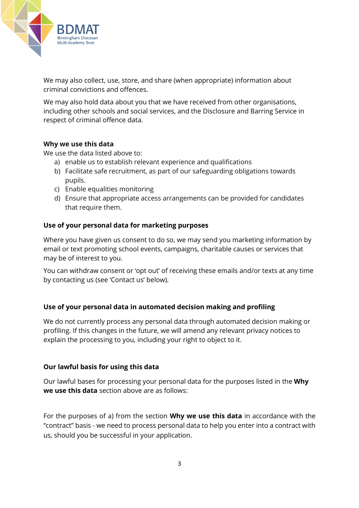

We may also collect, use, store, and share (when appropriate) information about criminal convictions and offences.

We may also hold data about you that we have received from other organisations, including other schools and social services, and the Disclosure and Barring Service in respect of criminal offence data.

#### **Why we use this data**

We use the data listed above to:

- a) enable us to establish relevant experience and qualifications
- b) Facilitate safe recruitment, as part of our safeguarding obligations towards pupils.
- c) Enable equalities monitoring
- d) Ensure that appropriate access arrangements can be provided for candidates that require them.

#### **Use of your personal data for marketing purposes**

Where you have given us consent to do so, we may send you marketing information by email or text promoting school events, campaigns, charitable causes or services that may be of interest to you.

You can withdraw consent or 'opt out' of receiving these emails and/or texts at any time by contacting us (see 'Contact us' below).

# **Use of your personal data in automated decision making and profiling**

We do not currently process any personal data through automated decision making or profiling. If this changes in the future, we will amend any relevant privacy notices to explain the processing to you, including your right to object to it.

#### **Our lawful basis for using this data**

Our lawful bases for processing your personal data for the purposes listed in the **Why we use this data** section above are as follows:

For the purposes of a) from the section **Why we use this data** in accordance with the "contract" basis - we need to process personal data to help you enter into a contract with us, should you be successful in your application.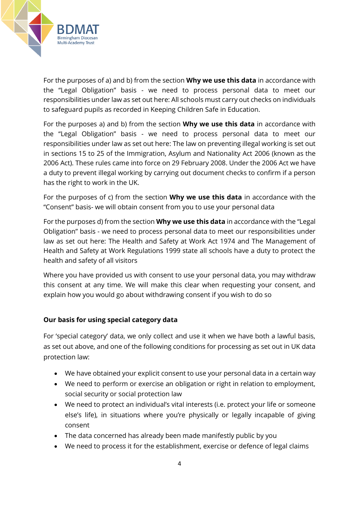

For the purposes of a) and b) from the section **Why we use this data** in accordance with the "Legal Obligation" basis - we need to process personal data to meet our responsibilities under law as set out here: All schools must carry out checks on individuals to safeguard pupils as recorded in Keeping Children Safe in Education.

For the purposes a) and b) from the section **Why we use this data** in accordance with the "Legal Obligation" basis - we need to process personal data to meet our responsibilities under law as set out here: The law on preventing illegal working is set out in sections 15 to 25 of the Immigration, Asylum and Nationality Act 2006 (known as the 2006 Act). These rules came into force on 29 February 2008. Under the 2006 Act we have a duty to prevent illegal working by carrying out document checks to confirm if a person has the right to work in the UK.

For the purposes of c) from the section **Why we use this data** in accordance with the "Consent" basis- we will obtain consent from you to use your personal data

For the purposes d) from the section **Why we use this data** in accordance with the "Legal Obligation" basis - we need to process personal data to meet our responsibilities under law as set out here: The Health and Safety at Work Act 1974 and The Management of Health and Safety at Work Regulations 1999 state all schools have a duty to protect the health and safety of all visitors

Where you have provided us with consent to use your personal data, you may withdraw this consent at any time. We will make this clear when requesting your consent, and explain how you would go about withdrawing consent if you wish to do so

# **Our basis for using special category data**

For 'special category' data, we only collect and use it when we have both a lawful basis, as set out above, and one of the following conditions for processing as set out in UK data protection law:

- We have obtained your explicit consent to use your personal data in a certain way
- We need to perform or exercise an obligation or right in relation to employment, social security or social protection law
- We need to protect an individual's vital interests (i.e. protect your life or someone else's life), in situations where you're physically or legally incapable of giving consent
- The data concerned has already been made manifestly public by you
- We need to process it for the establishment, exercise or defence of legal claims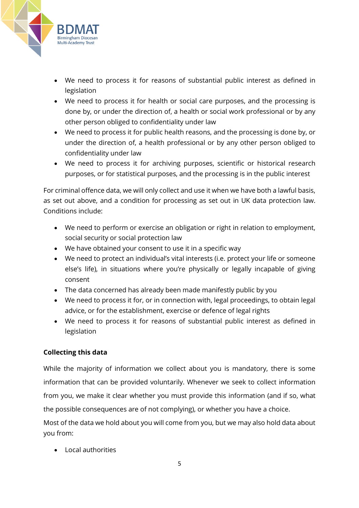

- We need to process it for reasons of substantial public interest as defined in legislation
- We need to process it for health or social care purposes, and the processing is done by, or under the direction of, a health or social work professional or by any other person obliged to confidentiality under law
- We need to process it for public health reasons, and the processing is done by, or under the direction of, a health professional or by any other person obliged to confidentiality under law
- We need to process it for archiving purposes, scientific or historical research purposes, or for statistical purposes, and the processing is in the public interest

For criminal offence data, we will only collect and use it when we have both a lawful basis, as set out above, and a condition for processing as set out in UK data protection law. Conditions include:

- We need to perform or exercise an obligation or right in relation to employment, social security or social protection law
- We have obtained your consent to use it in a specific way
- We need to protect an individual's vital interests (i.e. protect your life or someone else's life), in situations where you're physically or legally incapable of giving consent
- The data concerned has already been made manifestly public by you
- We need to process it for, or in connection with, legal proceedings, to obtain legal advice, or for the establishment, exercise or defence of legal rights
- We need to process it for reasons of substantial public interest as defined in legislation

# **Collecting this data**

While the majority of information we collect about you is mandatory, there is some information that can be provided voluntarily. Whenever we seek to collect information from you, we make it clear whether you must provide this information (and if so, what the possible consequences are of not complying), or whether you have a choice.

Most of the data we hold about you will come from you, but we may also hold data about you from:

• Local authorities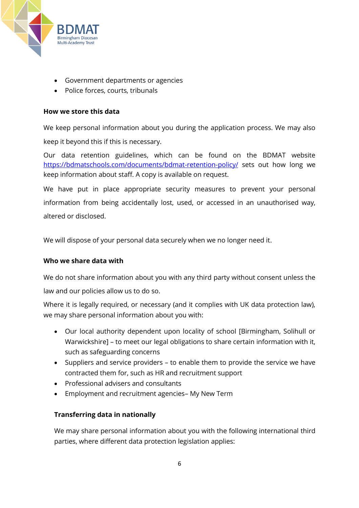

- Government departments or agencies
- Police forces, courts, tribunals

#### **How we store this data**

We keep personal information about you during the application process. We may also keep it beyond this if this is necessary.

Our data retention guidelines, which can be found on the BDMAT website <https://bdmatschools.com/documents/bdmat-retention-policy/> sets out how long we keep information about staff. A copy is available on request.

We have put in place appropriate security measures to prevent your personal information from being accidentally lost, used, or accessed in an unauthorised way, altered or disclosed.

We will dispose of your personal data securely when we no longer need it.

#### **Who we share data with**

We do not share information about you with any third party without consent unless the law and our policies allow us to do so.

Where it is legally required, or necessary (and it complies with UK data protection law), we may share personal information about you with:

- Our local authority dependent upon locality of school [Birmingham, Solihull or Warwickshire] – to meet our legal obligations to share certain information with it, such as safeguarding concerns
- Suppliers and service providers to enable them to provide the service we have contracted them for, such as HR and recruitment support
- Professional advisers and consultants
- Employment and recruitment agencies– My New Term

#### **Transferring data in nationally**

We may share personal information about you with the following international third parties, where different data protection legislation applies: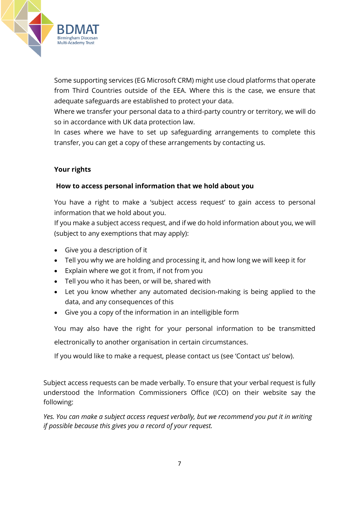

Some supporting services (EG Microsoft CRM) might use cloud platforms that operate from Third Countries outside of the EEA. Where this is the case, we ensure that adequate safeguards are established to protect your data.

Where we transfer your personal data to a third-party country or territory, we will do so in accordance with UK data protection law.

In cases where we have to set up safeguarding arrangements to complete this transfer, you can get a copy of these arrangements by contacting us.

# **Your rights**

# **How to access personal information that we hold about you**

You have a right to make a 'subject access request' to gain access to personal information that we hold about you.

If you make a subject access request, and if we do hold information about you, we will (subject to any exemptions that may apply):

- Give you a description of it
- Tell you why we are holding and processing it, and how long we will keep it for
- Explain where we got it from, if not from you
- Tell you who it has been, or will be, shared with
- Let you know whether any automated decision-making is being applied to the data, and any consequences of this
- Give you a copy of the information in an intelligible form

You may also have the right for your personal information to be transmitted electronically to another organisation in certain circumstances.

If you would like to make a request, please contact us (see 'Contact us' below).

Subject access requests can be made verbally. To ensure that your verbal request is fully understood the Information Commissioners Office (ICO) on their website say the following:

*Yes. You can make a subject access request verbally, but we recommend you put it in writing if possible because this gives you a record of your request.*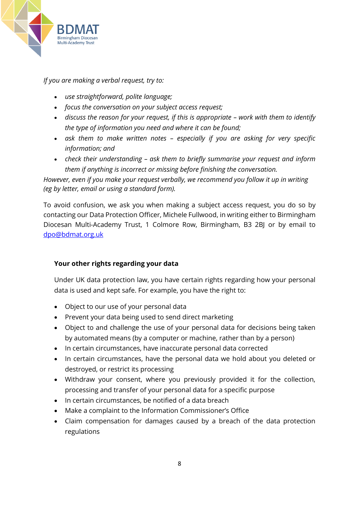

*If you are making a verbal request, try to:*

- *use straightforward, polite language;*
- *focus the conversation on your subject access request;*
- discuss the reason for your request, if this is appropriate work with them to identify *the type of information you need and where it can be found;*
- *ask them to make written notes – especially if you are asking for very specific information; and*
- *check their understanding – ask them to briefly summarise your request and inform them if anything is incorrect or missing before finishing the conversation.*

*However, even if you make your request verbally, we recommend you follow it up in writing (eg by letter, email or using a standard form).*

To avoid confusion, we ask you when making a subject access request, you do so by contacting our Data Protection Officer, Michele Fullwood, in writing either to Birmingham Diocesan Multi-Academy Trust, 1 Colmore Row, Birmingham, B3 2BJ or by email to [dpo@bdmat.org.uk](mailto:dpo@bdmat.org.uk)

# **Your other rights regarding your data**

Under UK data protection law, you have certain rights regarding how your personal data is used and kept safe. For example, you have the right to:

- Object to our use of your personal data
- Prevent your data being used to send direct marketing
- Object to and challenge the use of your personal data for decisions being taken by automated means (by a computer or machine, rather than by a person)
- In certain circumstances, have inaccurate personal data corrected
- In certain circumstances, have the personal data we hold about you deleted or destroyed, or restrict its processing
- Withdraw your consent, where you previously provided it for the collection, processing and transfer of your personal data for a specific purpose
- In certain circumstances, be notified of a data breach
- Make a complaint to the Information Commissioner's Office
- Claim compensation for damages caused by a breach of the data protection regulations